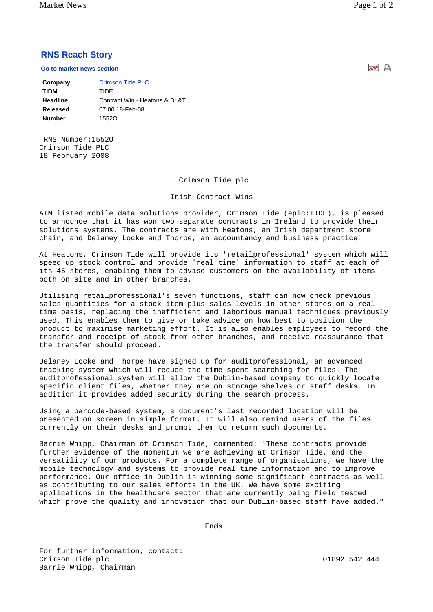Market News Page 1 of 2

## **RNS Reach Story**

**Go to market news section**

| Company       | Crimson Tide PLC              |
|---------------|-------------------------------|
| <b>TIDM</b>   | TIDE                          |
| Headline      | Contract Win - Heatons & DL&T |
| Released      | 07:00 18-Feb-08               |
| <b>Number</b> | 15520                         |
|               |                               |

 RNS Number:1552O Crimson Tide PLC 18 February 2008

## Crimson Tide plc

## Irish Contract Wins

AIM listed mobile data solutions provider, Crimson Tide (epic:TIDE), is pleased to announce that it has won two separate contracts in Ireland to provide their solutions systems. The contracts are with Heatons, an Irish department store chain, and Delaney Locke and Thorpe, an accountancy and business practice.

At Heatons, Crimson Tide will provide its 'retailprofessional' system which will speed up stock control and provide 'real time' information to staff at each of its 45 stores, enabling them to advise customers on the availability of items both on site and in other branches.

Utilising retailprofessional's seven functions, staff can now check previous sales quantities for a stock item plus sales levels in other stores on a real time basis, replacing the inefficient and laborious manual techniques previously used. This enables them to give or take advice on how best to position the product to maximise marketing effort. It is also enables employees to record the transfer and receipt of stock from other branches, and receive reassurance that the transfer should proceed.

Delaney Locke and Thorpe have signed up for auditprofessional, an advanced tracking system which will reduce the time spent searching for files. The auditprofessional system will allow the Dublin-based company to quickly locate specific client files, whether they are on storage shelves or staff desks. In addition it provides added security during the search process.

Using a barcode-based system, a document's last recorded location will be presented on screen in simple format. It will also remind users of the files currently on their desks and prompt them to return such documents.

Barrie Whipp, Chairman of Crimson Tide, commented: 'These contracts provide further evidence of the momentum we are achieving at Crimson Tide, and the versatility of our products. For a complete range of organisations, we have the mobile technology and systems to provide real time information and to improve performance. Our office in Dublin is winning some significant contracts as well as contributing to our sales efforts in the UK. We have some exciting applications in the healthcare sector that are currently being field tested which prove the quality and innovation that our Dublin-based staff have added."

ends and the contract of the contract of the contract of the contract of the contract of the contract of the c

For further information, contact: Crimson Tide plc 01892 542 444 Barrie Whipp, Chairman

써 습